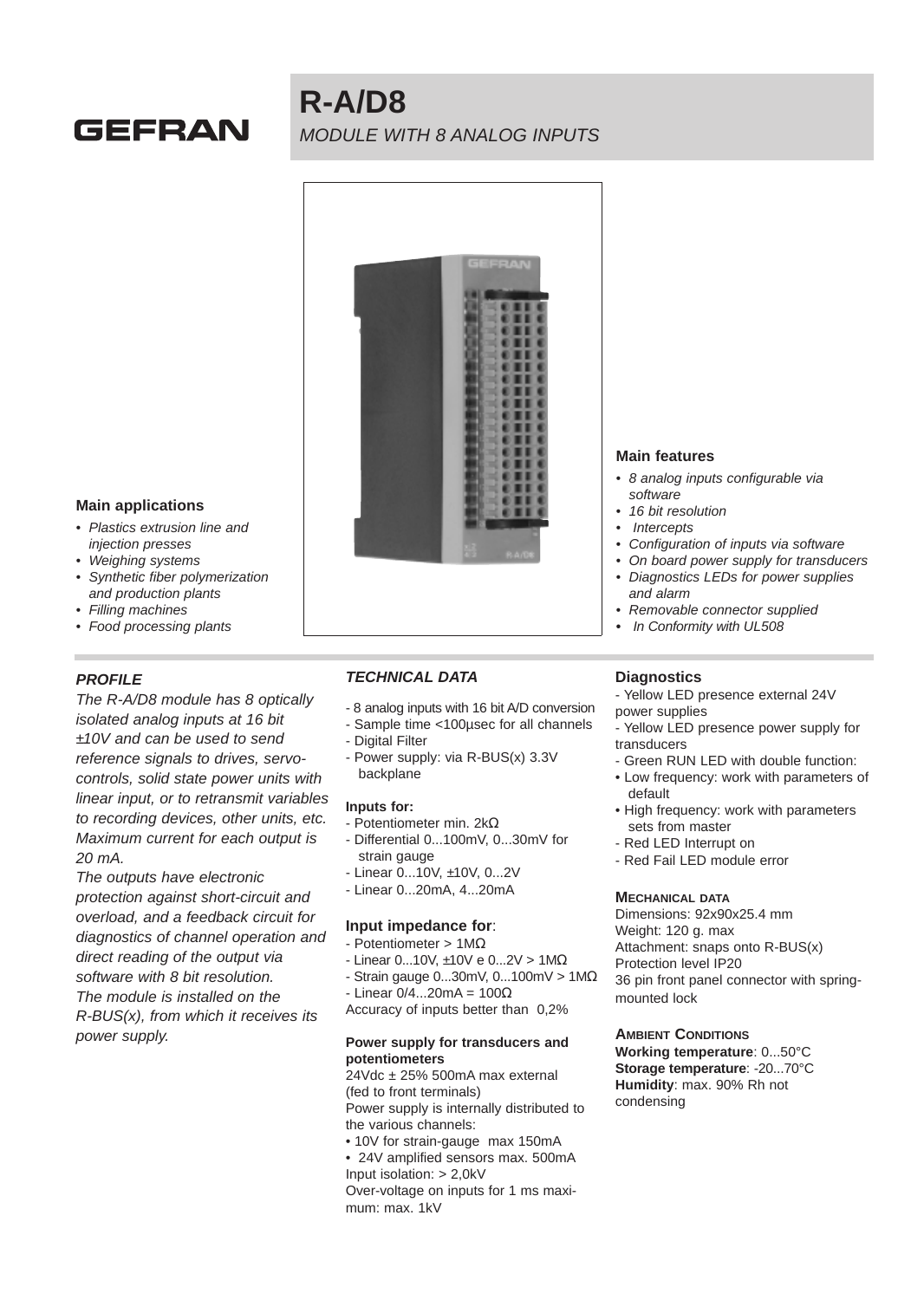# GEFRAN

# **R-A/D8** MODULE WITH 8 ANALOG INPUTS



### **Main applications**

- Plastics extrusion line and injection presses
- Weighing systems
- Synthetic fiber polymerization and production plants
- Filling machines
- Food processing plants

## **PROFILE**

The R-A/D8 module has 8 optically isolated analog inputs at 16 bit ±10V and can be used to send reference signals to drives, servocontrols, solid state power units with linear input, or to retransmit variables to recording devices, other units, etc. Maximum current for each output is 20 mA.

The outputs have electronic protection against short-circuit and overload, and a feedback circuit for diagnostics of channel operation and direct reading of the output via software with 8 bit resolution. The module is installed on the R-BUS(x), from which it receives its power supply.

## **TECHNICAL DATA**

- 8 analog inputs with 16 bit A/D conversion
- Sample time <100µsec for all channels
- Digital Filter
- Power supply: via R-BUS(x) 3.3V backplane

#### **Inputs for:**

- Potentiometer min. 2kΩ
- Differential 0...100mV, 0...30mV for strain gauge
- Linear 0...10V, ±10V, 0...2V
- Linear 0...20mA, 4...20mA

#### **Input impedance for**:

- Potentiometer > 1MΩ
- Linear 0...10V, ±10V e 0...2V > 1MΩ
- Strain gauge 0...30mV, 0...100mV > 1MΩ
- $-$  Linear 0/4...20mA = 100 $\Omega$
- Accuracy of inputs better than 0,2%

#### **Power supply for transducers and potentiometers**

24Vdc ± 25% 500mA max external (fed to front terminals) Power supply is internally distributed to the various channels: • 10V for strain-gauge max 150mA

• 24V amplified sensors max. 500mA Input isolation: > 2,0kV

Over-voltage on inputs for 1 ms maximum: max. 1kV

#### **Main features**

- 8 analog inputs configurable via software
- 16 bit resolution
- **Intercepts**
- Configuration of inputs via software
- On board power supply for transducers
- Diagnostics LEDs for power supplies and alarm
- Removable connector supplied
- **•** In Conformity with UL508

## **Diagnostics**

- Yellow LED presence external 24V power supplies
- Yellow LED presence power supply for transducers
- Green RUN LED with double function:
- Low frequency: work with parameters of default
- High frequency: work with parameters sets from master
- Red LED Interrupt on
- Red Fail LED module error

#### **MECHANICAL DATA**

Dimensions: 92x90x25.4 mm Weight: 120 g. max Attachment: snaps onto R-BUS(x) Protection level IP20 36 pin front panel connector with springmounted lock

#### **AMBIENT CONDITIONS**

**Working temperature**: 0...50°C **Storage temperature**: -20...70°C **Humidity**: max. 90% Rh not condensing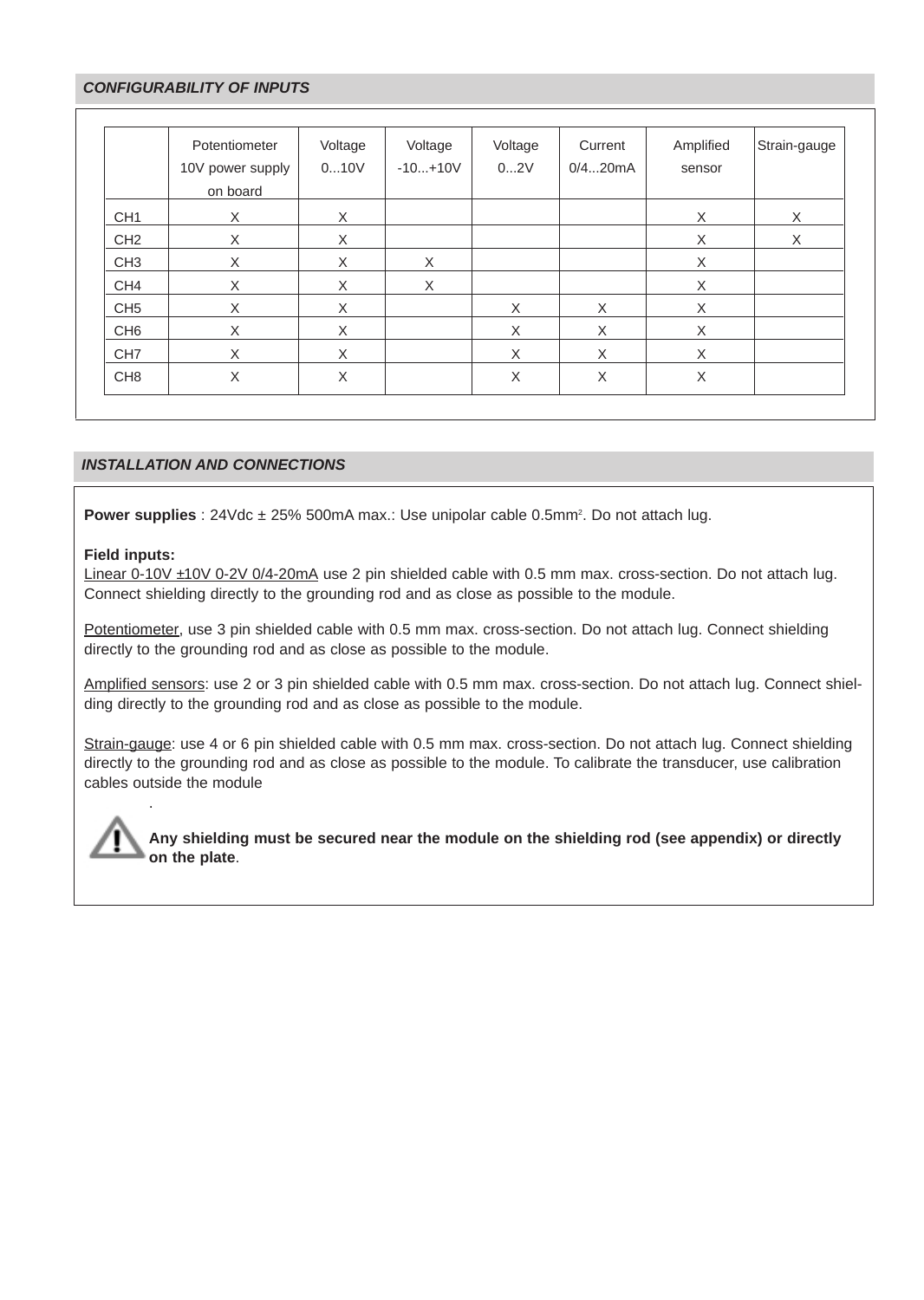## **CONFIGURABILITY OF INPUTS**

|                 | Potentiometer<br>10V power supply<br>on board | Voltage<br>010V | Voltage<br>$-10+10V$ | Voltage<br>02V | Current<br>0/420mA | Amplified<br>sensor | Strain-gauge |
|-----------------|-----------------------------------------------|-----------------|----------------------|----------------|--------------------|---------------------|--------------|
| CH <sub>1</sub> | X                                             | X               |                      |                |                    | X                   | X            |
| CH <sub>2</sub> | X                                             | X               |                      |                |                    | X                   | X            |
| CH <sub>3</sub> | X                                             | X               | X                    |                |                    | X                   |              |
| CH <sub>4</sub> | X                                             | X               | X                    |                |                    | X                   |              |
| CH <sub>5</sub> | X                                             | X               |                      | X              | X                  | X                   |              |
| CH <sub>6</sub> | X                                             | X               |                      | X              | X                  | X                   |              |
| CH <sub>7</sub> | X                                             | X               |                      | X              | X                  | X                   |              |
| CH <sub>8</sub> | X                                             | X               |                      | X              | X                  | X                   |              |

### **INSTALLATION AND CONNECTIONS**

**Power supplies** : 24Vdc ± 25% 500mA max.: Use unipolar cable 0.5mm<sup>2</sup>. Do not attach lug.

#### **Field inputs:**

.

Linear 0-10V ±10V 0-2V 0/4-20mA use 2 pin shielded cable with 0.5 mm max. cross-section. Do not attach lug. Connect shielding directly to the grounding rod and as close as possible to the module.

Potentiometer, use 3 pin shielded cable with 0.5 mm max. cross-section. Do not attach lug. Connect shielding directly to the grounding rod and as close as possible to the module.

Amplified sensors: use 2 or 3 pin shielded cable with 0.5 mm max. cross-section. Do not attach lug. Connect shielding directly to the grounding rod and as close as possible to the module.

Strain-gauge: use 4 or 6 pin shielded cable with 0.5 mm max. cross-section. Do not attach lug. Connect shielding directly to the grounding rod and as close as possible to the module. To calibrate the transducer, use calibration cables outside the module

**Any shielding must be secured near the module on the shielding rod (see appendix) or directly on the plate**.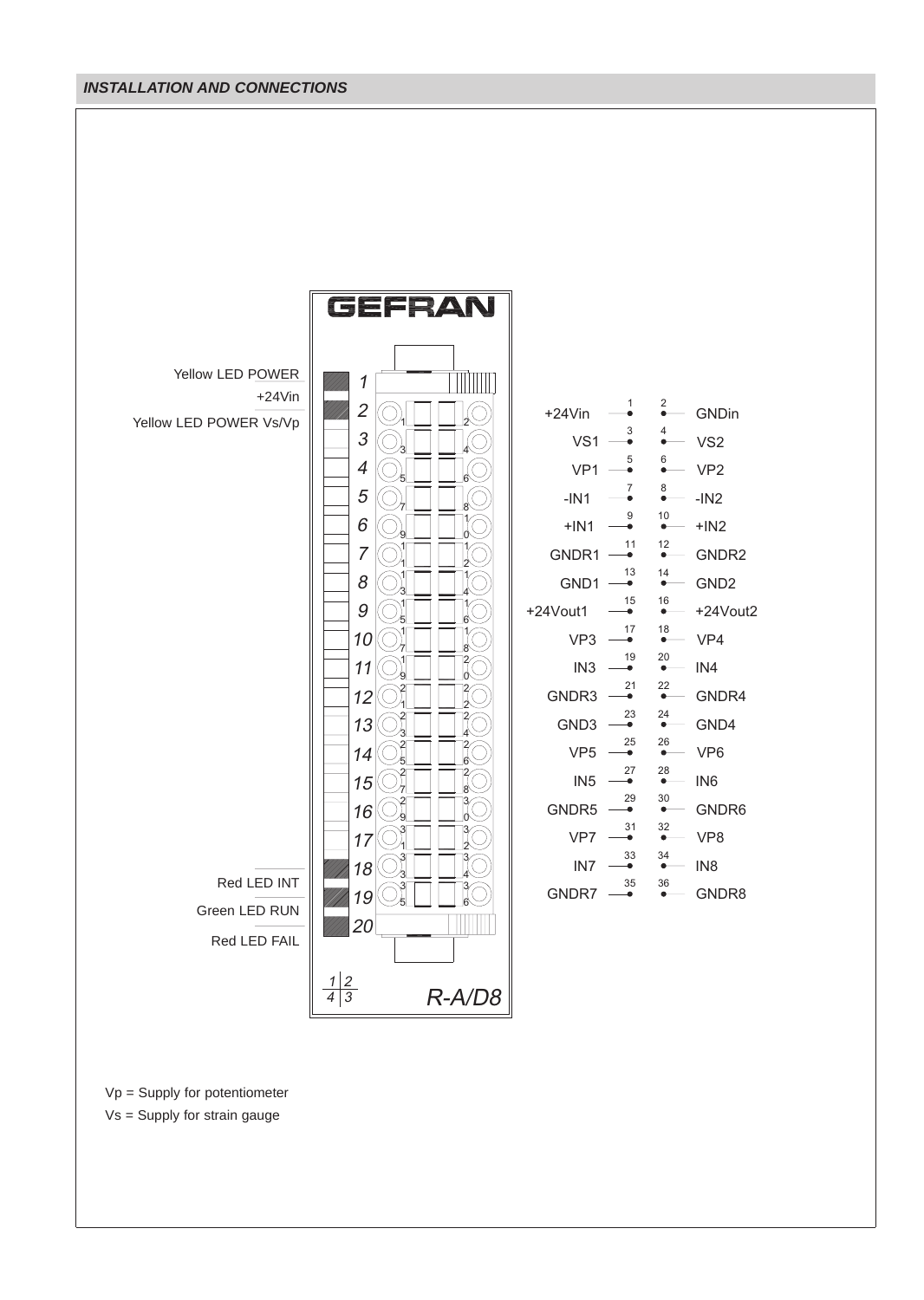## **INSTALLATION AND CONNECTIONS**



Vp = Supply for potentiometer

Vs = Supply for strain gauge